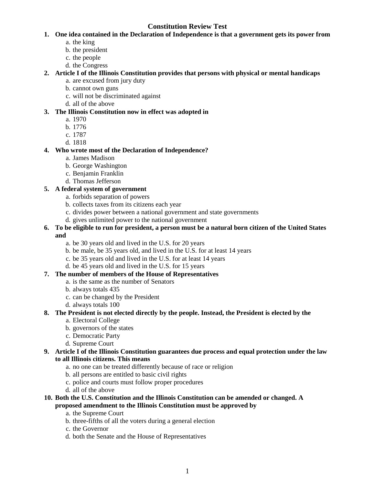# **Constitution Review Test**

- **1. One idea contained in the Declaration of Independence is that a government gets its power from** 
	- a. the king
	- b. the president
	- c. the people
	- d. the Congress

## **2. Article I of the Illinois Constitution provides that persons with physical or mental handicaps**

- a. are excused from jury duty
- b. cannot own guns
- c. will not be discriminated against
- d. all of the above

## **3. The Illinois Constitution now in effect was adopted in**

- a. 1970
- b. 1776
- c. 1787
- d. 1818

## **4. Who wrote most of the Declaration of Independence?**

- a. James Madison
- b. George Washington
- c. Benjamin Franklin
- d. Thomas Jefferson

## **5. A federal system of government**

- a. forbids separation of powers
- b. collects taxes from its citizens each year
- c. divides power between a national government and state governments
- d. gives unlimited power to the national government

## **6. To be eligible to run for president, a person must be a natural born citizen of the United States and**

- a. be 30 years old and lived in the U.S. for 20 years
- b. be male, be 35 years old, and lived in the U.S. for at least 14 years
- c. be 35 years old and lived in the U.S. for at least 14 years
- d. be 45 years old and lived in the U.S. for 15 years

## **7. The number of members of the House of Representatives**

- a. is the same as the number of Senators
- b. always totals 435
- c. can be changed by the President
- d. always totals 100

# **8. The President is not elected directly by the people. Instead, the President is elected by the**

- a. Electoral College
- b. governors of the states
- c. Democratic Party
- d. Supreme Court

## **9. Article I of the Illinois Constitution guarantees due process and equal protection under the law to all Illinois citizens. This means**

- a. no one can be treated differently because of race or religion
- b. all persons are entitled to basic civil rights
- c. police and courts must follow proper procedures
- d. all of the above

## **10. Both the U.S. Constitution and the Illinois Constitution can be amended or changed. A proposed amendment to the Illinois Constitution must be approved by**

- a. the Supreme Court
- b. three-fifths of all the voters during a general election
- c. the Governor
- d. both the Senate and the House of Representatives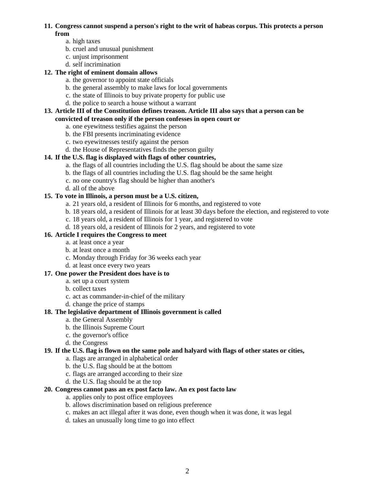#### **11. Congress cannot suspend a person's right to the writ of habeas corpus. This protects a person from**

- a. high taxes
- b. cruel and unusual punishment
- c. unjust imprisonment
- d. self incrimination

## **12. The right of eminent domain allows**

- a. the governor to appoint state officials
- b. the general assembly to make laws for local governments
- c. the state of Illinois to buy private property for public use
- d. the police to search a house without a warrant

#### **13. Article III of the Constitution defines treason. Article III also says that a person can be convicted of treason only if the person confesses in open court or**

- a. one eyewitness testifies against the person
- b. the FBI presents incriminating evidence
- c. two eyewitnesses testify against the person
- d. the House of Representatives finds the person guilty

## **14. If the U.S. flag is displayed with flags of other countries,**

- a. the flags of all countries including the U.S. flag should be about the same size
- b. the flags of all countries including the U.S. flag should be the same height
- c. no one country's flag should be higher than another's
- d. all of the above

## **15. To vote in Illinois, a person must be a U.S. citizen,**

- a. 21 years old, a resident of Illinois for 6 months, and registered to vote
- b. 18 years old, a resident of Illinois for at least 30 days before the election, and registered to vote
- c. 18 years old, a resident of Illinois for 1 year, and registered to vote
- d. 18 years old, a resident of Illinois for 2 years, and registered to vote

## **16. Article I requires the Congress to meet**

- a. at least once a year
- b. at least once a month
- c. Monday through Friday for 36 weeks each year
- d. at least once every two years

## **17. One power the President does have is to**

- a. set up a court system
- b. collect taxes
- c. act as commander-in-chief of the military
- d. change the price of stamps

#### **18. The legislative department of Illinois government is called**

- a. the General Assembly
- b. the Illinois Supreme Court
- c. the governor's office
- d. the Congress

#### **19. If the U.S. flag is flown on the same pole and halyard with flags of other states or cities,**

- a. flags are arranged in alphabetical order
- b. the U.S. flag should be at the bottom
- c. flags are arranged according to their size
- d. the U.S. flag should be at the top

#### **20. Congress cannot pass an ex post facto law. An ex post facto law**

- a. applies only to post office employees
- b. allows discrimination based on religious preference
- c. makes an act illegal after it was done, even though when it was done, it was legal
- d. takes an unusually long time to go into effect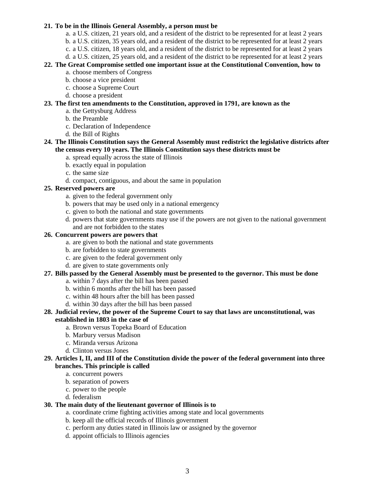#### **21. To be in the Illinois General Assembly, a person must be**

- a. a U.S. citizen, 21 years old, and a resident of the district to be represented for at least 2 years
- b. a U.S. citizen, 35 years old, and a resident of the district to be represented for at least 2 years
- c. a U.S. citizen, 18 years old, and a resident of the district to be represented for at least 2 years
- d. a U.S. citizen, 25 years old, and a resident of the district to be represented for at least 2 years

## **22. The Great Compromise settled one important issue at the Constitutional Convention, how to**

- a. choose members of Congress
- b. choose a vice president
- c. choose a Supreme Court
- d. choose a president

### **23. The first ten amendments to the Constitution, approved in 1791, are known as the**

- a. the Gettysburg Address
- b. the Preamble
- c. Declaration of Independence
- d. the Bill of Rights

## **24. The Illinois Constitution says the General Assembly must redistrict the legislative districts after the census every 10 years. The Illinois Constitution says these districts must be**

- a. spread equally across the state of Illinois
- b. exactly equal in population
- c. the same size
- d. compact, contiguous, and about the same in population

# **25. Reserved powers are**

- a. given to the federal government only
- b. powers that may be used only in a national emergency
- c. given to both the national and state governments
- d. powers that state governments may use if the powers are not given to the national government and are not forbidden to the states

## **26. Concurrent powers are powers that**

- a. are given to both the national and state governments
- b. are forbidden to state governments
- c. are given to the federal government only
- d. are given to state governments only

### **27. Bills passed by the General Assembly must be presented to the governor. This must be done**

- a. within 7 days after the bill has been passed
- b. within 6 months after the bill has been passed
- c. within 48 hours after the bill has been passed
- d. within 30 days after the bill has been passed

### **28. Judicial review, the power of the Supreme Court to say that laws are unconstitutional, was established in 1803 in the case of**

- a. Brown versus Topeka Board of Education
- b. Marbury versus Madison
- c. Miranda versus Arizona
- d. Clinton versus Jones

## **29. Articles I, II, and III of the Constitution divide the power of the federal government into three branches. This principle is called**

- a. concurrent powers
- b. separation of powers
- c. power to the people
- d. federalism

# **30. The main duty of the lieutenant governor of Illinois is to**

- a. coordinate crime fighting activities among state and local governments
- b. keep all the official records of Illinois government
- c. perform any duties stated in Illinois law or assigned by the governor
- d. appoint officials to Illinois agencies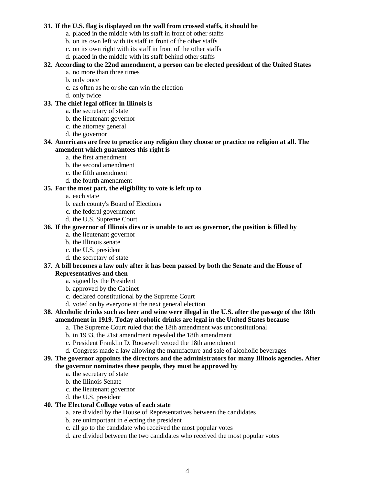#### **31. If the U.S. flag is displayed on the wall from crossed staffs, it should be**

- a. placed in the middle with its staff in front of other staffs
- b. on its own left with its staff in front of the other staffs
- c. on its own right with its staff in front of the other staffs
- d. placed in the middle with its staff behind other staffs

## **32. According to the 22nd amendment, a person can be elected president of the United States**

- a. no more than three times
- b. only once
- c. as often as he or she can win the election
- d. only twice

## **33. The chief legal officer in Illinois is**

- a. the secretary of state
- b. the lieutenant governor
- c. the attorney general
- d. the governor

### **34. Americans are free to practice any religion they choose or practice no religion at all. The amendent which guarantees this right is**

- a. the first amendment
- b. the second amendment
- c. the fifth amendment
- d. the fourth amendment

## **35. For the most part, the eligibility to vote is left up to**

- a. each state
- b. each county's Board of Elections
- c. the federal government
- d. the U.S. Supreme Court

## **36. If the governor of Illinois dies or is unable to act as governor, the position is filled by**

- a. the lieutenant governor
- b. the Illinois senate
- c. the U.S. president
- d. the secretary of state

## **37. A bill becomes a law only after it has been passed by both the Senate and the House of Representatives and then**

- a. signed by the President
- b. approved by the Cabinet
- c. declared constitutional by the Supreme Court
- d. voted on by everyone at the next general election

## **38. Alcoholic drinks such as beer and wine were illegal in the U.S. after the passage of the 18th amendment in 1919. Today alcoholic drinks are legal in the United States because**

- a. The Supreme Court ruled that the 18th amendment was unconstitutional
- b. in 1933, the 21st amendment repealed the 18th amendment
- c. President Franklin D. Roosevelt vetoed the 18th amendment
- d. Congress made a law allowing the manufacture and sale of alcoholic beverages

#### **39. The governor appoints the directors and the administrators for many Illinois agencies. After the governor nominates these people, they must be approved by**

- a. the secretary of state
- b. the Illinois Senate
- c. the lieutenant governor
- d. the U.S. president

## **40. The Electoral College votes of each state**

- a. are divided by the House of Representatives between the candidates
- b. are unimportant in electing the president
- c. all go to the candidate who received the most popular votes
- d. are divided between the two candidates who received the most popular votes